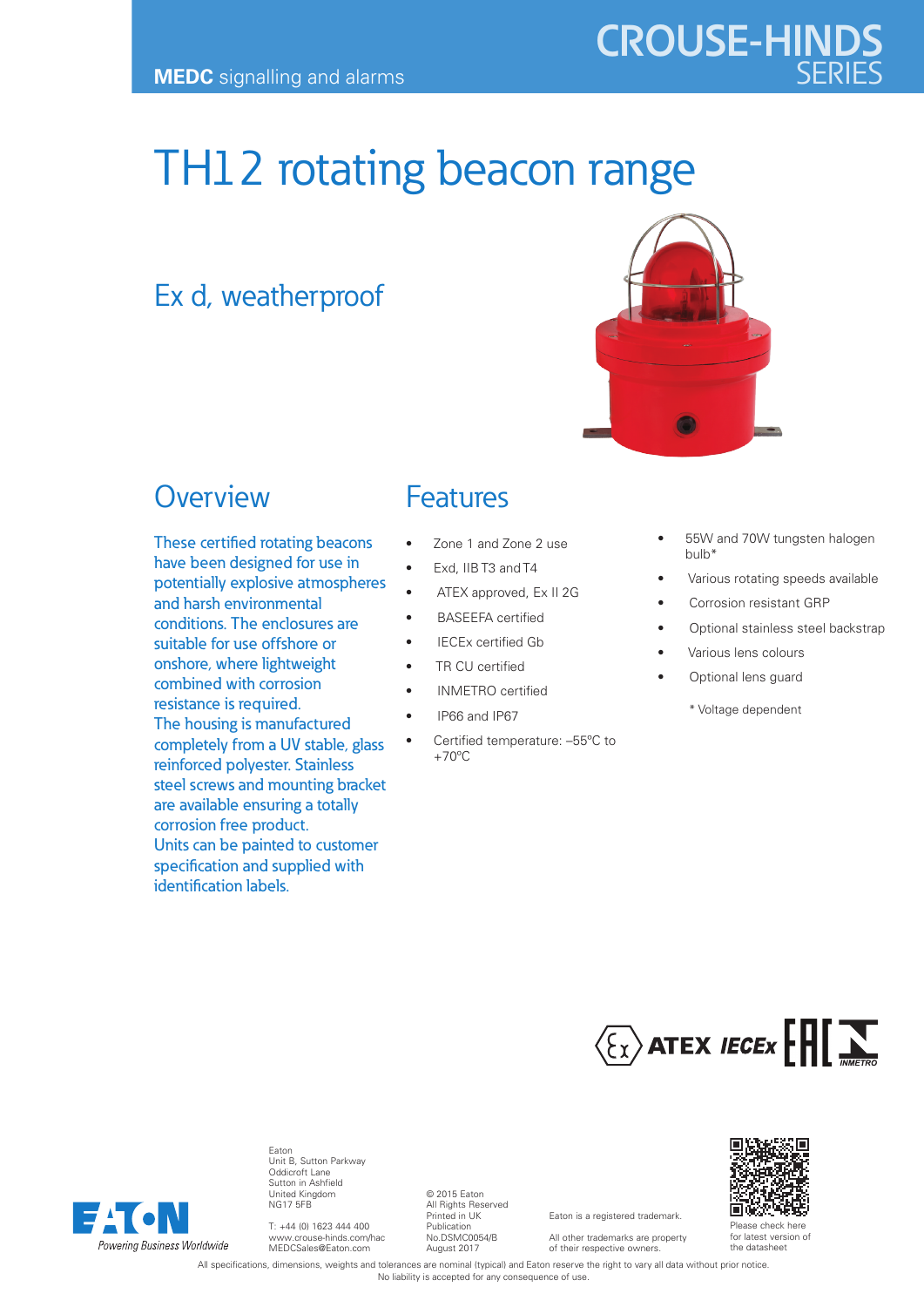# **CROUSE-HINDS**

## TH12 rotating beacon range

## Ex d, weatherproof



## **Overview**

These certified rotating beacons have been designed for use in potentially explosive atmospheres and harsh environmental conditions. The enclosures are suitable for use offshore or onshore, where lightweight combined with corrosion resistance is required. The housing is manufactured completely from a UV stable, glass reinforced polyester. Stainless steel screws and mounting bracket are available ensuring a totally corrosion free product. Units can be painted to customer specification and supplied with identification labels.

#### Features

- Zone 1 and Zone 2 use
- Exd, IIB T3 and T4
- ATEX approved, Ex II 2G
- BASEEFA certified
- IECEx certified Gb
- TR CU certified
- INMETRO certified
- IP66 and IP67
- Certified temperature: –55ºC to  $+70^{\circ}$ C
- 55W and 70W tungsten halogen bulb\*
- Various rotating speeds available
- Corrosion resistant GRP
- Optional stainless steel backstrap
- Various lens colours
- Optional lens quard
	- \* Voltage dependent





Eaton Unit B, Sutton Parkway Oddicroft Lane Sutton in Ashfield United Kingdom NG17 5FB

T: +44 (0) 1623 444 400 www.crouse-hinds.com/hac MEDCSales@Eaton.com

© 2015 Eaton All Rights Reserved Printed in UK Publication No.DSMC0054/B August 2017

Eaton is a registered trademark. All other trademarks are property

of their respective owners.



for latest version of the datasheet

All specifications, dimensions, weights and tolerances are nominal (typical) and Eaton reserve the right to vary all data without prior notice. No liability is accepted for any consequence of use.